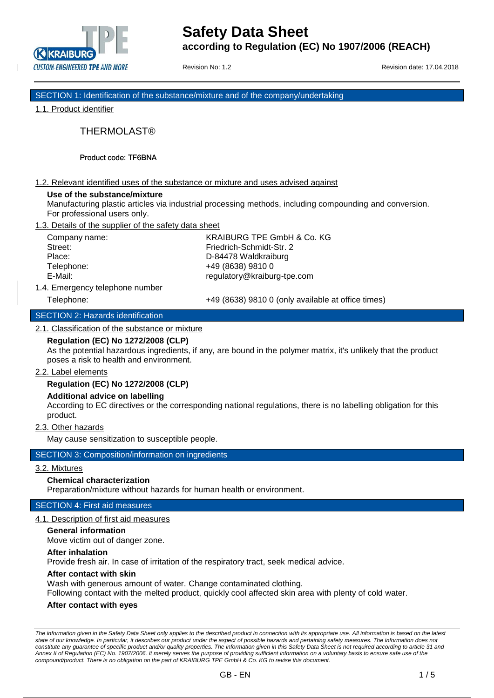

Revision No: 1.2 **Revision date: 17.04.2018** 

SECTION 1: Identification of the substance/mixture and of the company/undertaking

1.1. Product identifier

THERMOLAST®

Product code: TF6BNA

## 1.2. Relevant identified uses of the substance or mixture and uses advised against

#### **Use of the substance/mixture**

Manufacturing plastic articles via industrial processing methods, including compounding and conversion. For professional users only.

1.3. Details of the supplier of the safety data sheet

Company name: KRAIBURG TPE GmbH & Co. KG Street: Friedrich-Schmidt-Str. 2 Place: D-84478 Waldkraiburg Telephone: +49 (8638) 9810 0 E-Mail: regulatory@kraiburg-tpe.com

1.4. Emergency telephone number

Telephone: +49 (8638) 9810 0 (only available at office times)

## SECTION 2: Hazards identification

## 2.1. Classification of the substance or mixture

## **Regulation (EC) No 1272/2008 (CLP)**

As the potential hazardous ingredients, if any, are bound in the polymer matrix, it's unlikely that the product poses a risk to health and environment.

## 2.2. Label elements

## **Regulation (EC) No 1272/2008 (CLP)**

## **Additional advice on labelling**

According to EC directives or the corresponding national regulations, there is no labelling obligation for this product.

2.3. Other hazards

May cause sensitization to susceptible people.

## SECTION 3: Composition/information on ingredients

# 3.2. Mixtures

# **Chemical characterization**

Preparation/mixture without hazards for human health or environment.

# SECTION 4: First aid measures

4.1. Description of first aid measures

## **General information**

Move victim out of danger zone.

## **After inhalation**

Provide fresh air. In case of irritation of the respiratory tract, seek medical advice.

#### **After contact with skin**

Wash with generous amount of water. Change contaminated clothing.

Following contact with the melted product, quickly cool affected skin area with plenty of cold water.

## **After contact with eyes**

*The information given in the Safety Data Sheet only applies to the described product in connection with its appropriate use. All information is based on the latest state of our knowledge. In particular, it describes our product under the aspect of possible hazards and pertaining safety measures. The information does not constitute any guarantee of specific product and/or quality properties. The information given in this Safety Data Sheet is not required according to article 31 and Annex II of Regulation (EC) No. 1907/2006. It merely serves the purpose of providing sufficient information on a voluntary basis to ensure safe use of the compound/product. There is no obligation on the part of KRAIBURG TPE GmbH & Co. KG to revise this document.*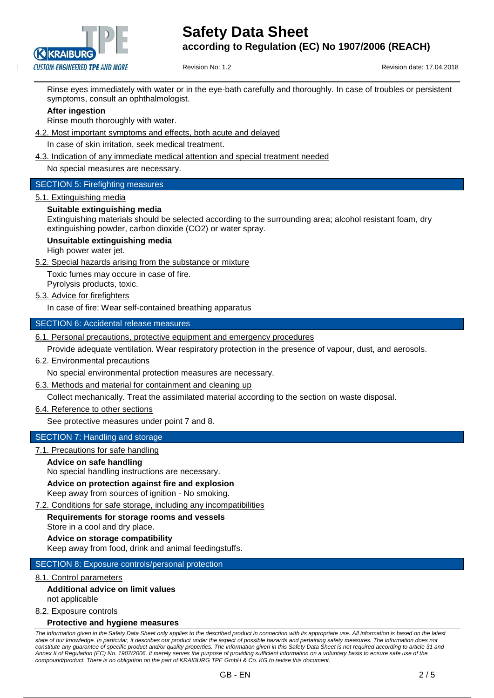

Revision No: 1.2 Revision date: 17.04.2018

Rinse eyes immediately with water or in the eye-bath carefully and thoroughly. In case of troubles or persistent symptoms, consult an ophthalmologist.

## **After ingestion**

Rinse mouth thoroughly with water.

- 4.2. Most important symptoms and effects, both acute and delayed
	- In case of skin irritation, seek medical treatment.
- 4.3. Indication of any immediate medical attention and special treatment needed

No special measures are necessary.

## SECTION 5: Firefighting measures

5.1. Extinguishing media

## **Suitable extinguishing media**

Extinguishing materials should be selected according to the surrounding area; alcohol resistant foam, dry extinguishing powder, carbon dioxide (CO2) or water spray.

## **Unsuitable extinguishing media**

High power water jet.

5.2. Special hazards arising from the substance or mixture

Toxic fumes may occure in case of fire. Pyrolysis products, toxic.

5.3. Advice for firefighters

In case of fire: Wear self-contained breathing apparatus

## SECTION 6: Accidental release measures

6.1. Personal precautions, protective equipment and emergency procedures

Provide adequate ventilation. Wear respiratory protection in the presence of vapour, dust, and aerosols.

## 6.2. Environmental precautions

No special environmental protection measures are necessary.

6.3. Methods and material for containment and cleaning up

Collect mechanically. Treat the assimilated material according to the section on waste disposal.

6.4. Reference to other sections

See protective measures under point 7 and 8.

# SECTION 7: Handling and storage

# 7.1. Precautions for safe handling

**Advice on safe handling**

No special handling instructions are necessary.

## **Advice on protection against fire and explosion**

Keep away from sources of ignition - No smoking.

7.2. Conditions for safe storage, including any incompatibilities

**Requirements for storage rooms and vessels** Store in a cool and dry place.

## **Advice on storage compatibility**

Keep away from food, drink and animal feedingstuffs.

# SECTION 8: Exposure controls/personal protection

## 8.1. Control parameters

## **Additional advice on limit values** not applicable

8.2. Exposure controls

## **Protective and hygiene measures**

*The information given in the Safety Data Sheet only applies to the described product in connection with its appropriate use. All information is based on the latest state of our knowledge. In particular, it describes our product under the aspect of possible hazards and pertaining safety measures. The information does not constitute any guarantee of specific product and/or quality properties. The information given in this Safety Data Sheet is not required according to article 31 and Annex II of Regulation (EC) No. 1907/2006. It merely serves the purpose of providing sufficient information on a voluntary basis to ensure safe use of the compound/product. There is no obligation on the part of KRAIBURG TPE GmbH & Co. KG to revise this document.*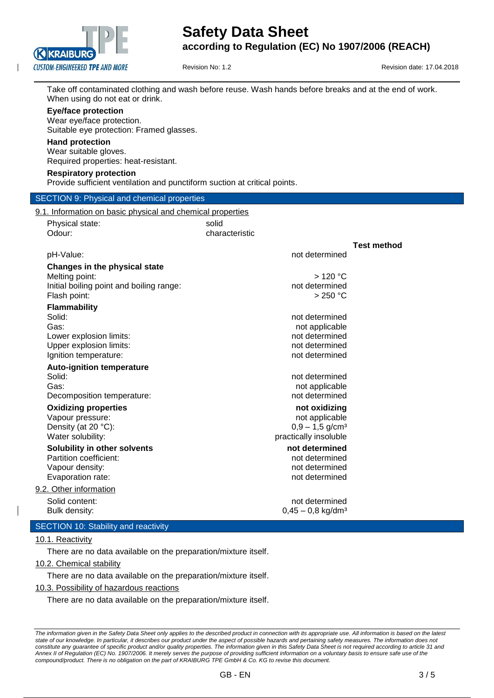

Revision No: 1.2 **Revision date: 17.04.2018** 

Take off contaminated clothing and wash before reuse. Wash hands before breaks and at the end of work. When using do not eat or drink.

#### **Eye/face protection**

Wear eye/face protection. Suitable eye protection: Framed glasses.

#### **Hand protection**

Wear suitable gloves.

Required properties: heat-resistant.

#### **Respiratory protection**

Provide sufficient ventilation and punctiform suction at critical points.

# SECTION 0: Physical and chemical properties

| Physical state:                                  | solid          |                                  |                    |
|--------------------------------------------------|----------------|----------------------------------|--------------------|
| Odour:                                           | characteristic |                                  |                    |
|                                                  |                |                                  | <b>Test method</b> |
| pH-Value:                                        |                | not determined                   |                    |
| Changes in the physical state                    |                |                                  |                    |
| Melting point:                                   |                | >120 °C                          |                    |
| Initial boiling point and boiling range:         |                | not determined                   |                    |
| Flash point:                                     |                | $>250$ °C                        |                    |
| Flammability                                     |                |                                  |                    |
| Solid:                                           |                | not determined                   |                    |
| Gas:                                             |                | not applicable                   |                    |
| Lower explosion limits:                          |                | not determined<br>not determined |                    |
| Upper explosion limits:<br>Ignition temperature: |                | not determined                   |                    |
|                                                  |                |                                  |                    |
| <b>Auto-ignition temperature</b><br>Solid:       |                | not determined                   |                    |
| Gas:                                             |                | not applicable                   |                    |
| Decomposition temperature:                       |                | not determined                   |                    |
| <b>Oxidizing properties</b>                      |                | not oxidizing                    |                    |
| Vapour pressure:                                 |                | not applicable                   |                    |
| Density (at 20 °C):                              |                | $0,9 - 1,5$ g/cm <sup>3</sup>    |                    |
| Water solubility:                                |                | practically insoluble            |                    |
| Solubility in other solvents                     |                | not determined                   |                    |
| Partition coefficient:                           |                | not determined                   |                    |
| Vapour density:                                  |                | not determined                   |                    |
| Evaporation rate:                                |                | not determined                   |                    |
| 9.2. Other information                           |                |                                  |                    |
| Solid content:                                   |                | not determined                   |                    |
| Bulk density:                                    |                | $0,45 - 0,8$ kg/dm <sup>3</sup>  |                    |

## 10.1. Reactivity

There are no data available on the preparation/mixture itself.

10.2. Chemical stability

There are no data available on the preparation/mixture itself.

10.3. Possibility of hazardous reactions

There are no data available on the preparation/mixture itself.

*The information given in the Safety Data Sheet only applies to the described product in connection with its appropriate use. All information is based on the latest state of our knowledge. In particular, it describes our product under the aspect of possible hazards and pertaining safety measures. The information does not constitute any guarantee of specific product and/or quality properties. The information given in this Safety Data Sheet is not required according to article 31 and Annex II of Regulation (EC) No. 1907/2006. It merely serves the purpose of providing sufficient information on a voluntary basis to ensure safe use of the compound/product. There is no obligation on the part of KRAIBURG TPE GmbH & Co. KG to revise this document.*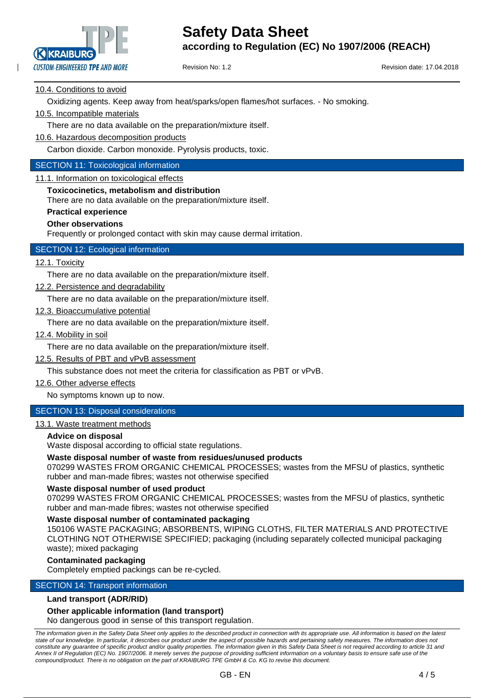

Revision No: 1.2 **Revision date: 17.04.2018** 

## 10.4. Conditions to avoid

Oxidizing agents. Keep away from heat/sparks/open flames/hot surfaces. - No smoking.

## 10.5. Incompatible materials

There are no data available on the preparation/mixture itself.

10.6. Hazardous decomposition products

Carbon dioxide. Carbon monoxide. Pyrolysis products, toxic.

## SECTION 11: Toxicological information

11.1. Information on toxicological effects

#### **Toxicocinetics, metabolism and distribution**

There are no data available on the preparation/mixture itself.

## **Practical experience**

#### **Other observations**

Frequently or prolonged contact with skin may cause dermal irritation.

# SECTION 12: Ecological information

## 12.1. Toxicity

There are no data available on the preparation/mixture itself.

12.2. Persistence and degradability

There are no data available on the preparation/mixture itself.

12.3. Bioaccumulative potential

There are no data available on the preparation/mixture itself.

12.4. Mobility in soil

There are no data available on the preparation/mixture itself.

12.5. Results of PBT and vPvB assessment

This substance does not meet the criteria for classification as PBT or vPvB.

12.6. Other adverse effects

No symptoms known up to now.

# SECTION 13: Disposal considerations

# 13.1. Waste treatment methods

#### **Advice on disposal**

Waste disposal according to official state regulations.

#### **Waste disposal number of waste from residues/unused products**

070299 WASTES FROM ORGANIC CHEMICAL PROCESSES; wastes from the MFSU of plastics, synthetic rubber and man-made fibres; wastes not otherwise specified

#### **Waste disposal number of used product**

070299 WASTES FROM ORGANIC CHEMICAL PROCESSES; wastes from the MFSU of plastics, synthetic rubber and man-made fibres; wastes not otherwise specified

#### **Waste disposal number of contaminated packaging**

150106 WASTE PACKAGING; ABSORBENTS, WIPING CLOTHS, FILTER MATERIALS AND PROTECTIVE CLOTHING NOT OTHERWISE SPECIFIED; packaging (including separately collected municipal packaging waste); mixed packaging

#### **Contaminated packaging**

Completely emptied packings can be re-cycled.

## SECTION 14: Transport information

#### **Land transport (ADR/RID)**

## **Other applicable information (land transport)**

No dangerous good in sense of this transport regulation.

*The information given in the Safety Data Sheet only applies to the described product in connection with its appropriate use. All information is based on the latest state of our knowledge. In particular, it describes our product under the aspect of possible hazards and pertaining safety measures. The information does not*  constitute any guarantee of specific product and/or quality properties. The information given in this Safety Data Sheet is not required according to article 31 and *Annex II of Regulation (EC) No. 1907/2006. It merely serves the purpose of providing sufficient information on a voluntary basis to ensure safe use of the compound/product. There is no obligation on the part of KRAIBURG TPE GmbH & Co. KG to revise this document.*